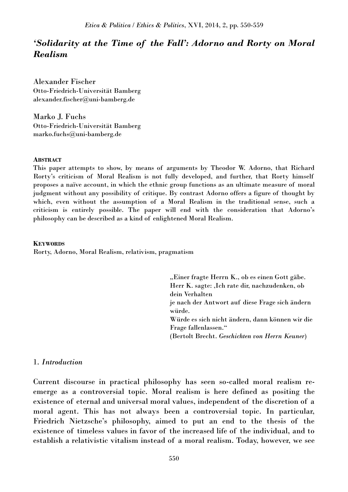*Etica & Politica / Ethics & Politics*, XVI, 2014, 2, pp. 550-559

# *'Solidarity at the Time of the Fall': Adorno and Rorty on Moral Realism*

Alexander Fischer Otto-Friedrich-Universität Bamberg alexander.fischer@uni-bamberg.de

Marko J. Fuchs Otto-Friedrich-Universität Bamberg marko.fuchs@uni-bamberg.de

## **ABSTRACT**

This paper attempts to show, by means of arguments by Theodor W. Adorno, that Richard Rorty's criticism of Moral Realism is not fully developed, and further, that Rorty himself proposes a naïve account, in which the ethnic group functions as an ultimate measure of moral judgment without any possibility of critique. By contrast Adorno offers a figure of thought by which, even without the assumption of a Moral Realism in the traditional sense, such a criticism is entirely possible. The paper will end with the consideration that Adorno's philosophy can be described as a kind of enlightened Moral Realism.

### **KEYWORDS**

Rorty, Adorno, Moral Realism, relativism, pragmatism

"Einer fragte Herrn K., ob es einen Gott gäbe. Herr K. sagte: .Ich rate dir, nachzudenken, ob dein Verhalten je nach der Antwort auf diese Frage sich ändern würde. Würde es sich nicht ändern, dann können wir die Frage fallenlassen." (Bertolt Brecht. *Geschichten von Herrn Keuner*)

## 1. *Introduction*

Current discourse in practical philosophy has seen so-called moral realism reemerge as a controversial topic. Moral realism is here defined as positing the existence of eternal and universal moral values, independent of the discretion of a moral agent. This has not always been a controversial topic. In particular, Friedrich Nietzsche's philosophy, aimed to put an end to the thesis of the existence of timeless values in favor of the increased life of the individual, and to establish a relativistic vitalism instead of a moral realism. Today, however, we see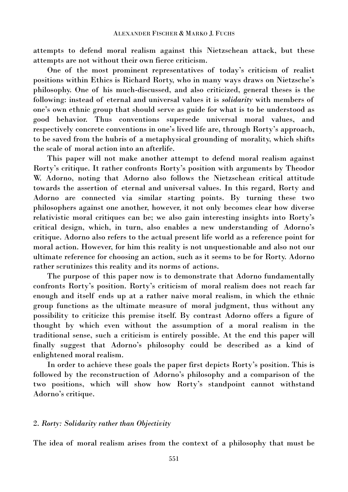attempts to defend moral realism against this Nietzschean attack, but these attempts are not without their own fierce criticism.

One of the most prominent representatives of today's criticism of realist positions within Ethics is Richard Rorty, who in many ways draws on Nietzsche's philosophy. One of his much-discussed, and also criticized, general theses is the following: instead of eternal and universal values it is *solidarity* with members of one's own ethnic group that should serve as guide for what is to be understood as good behavior. Thus conventions supersede universal moral values, and respectively concrete conventions in one's lived life are, through Rorty's approach, to be saved from the hubris of a metaphysical grounding of morality, which shifts the scale of moral action into an afterlife.

This paper will not make another attempt to defend moral realism against Rorty's critique. It rather confronts Rorty's position with arguments by Theodor W. Adorno, noting that Adorno also follows the Nietzschean critical attitude towards the assertion of eternal and universal values. In this regard, Rorty and Adorno are connected via similar starting points. By turning these two philosophers against one another, however, it not only becomes clear how diverse relativistic moral critiques can be; we also gain interesting insights into Rorty's critical design, which, in turn, also enables a new understanding of Adorno's critique. Adorno also refers to the actual present life world as a reference point for moral action. However, for him this reality is not unquestionable and also not our ultimate reference for choosing an action, such as it seems to be for Rorty. Adorno rather scrutinizes this reality and its norms of actions.

The purpose of this paper now is to demonstrate that Adorno fundamentally confronts Rorty's position. Rorty's criticism of moral realism does not reach far enough and itself ends up at a rather naive moral realism, in which the ethnic group functions as the ultimate measure of moral judgment, thus without any possibility to criticize this premise itself. By contrast Adorno offers a figure of thought by which even without the assumption of a moral realism in the traditional sense, such a criticism is entirely possible. At the end this paper will finally suggest that Adorno's philosophy could be described as a kind of enlightened moral realism.

In order to achieve these goals the paper first depicts Rorty's position. This is followed by the reconstruction of Adorno's philosophy and a comparison of the two positions, which will show how Rorty's standpoint cannot withstand Adorno's critique.

## 2. *Rorty: Solidarity rather than Objectivity*

The idea of moral realism arises from the context of a philosophy that must be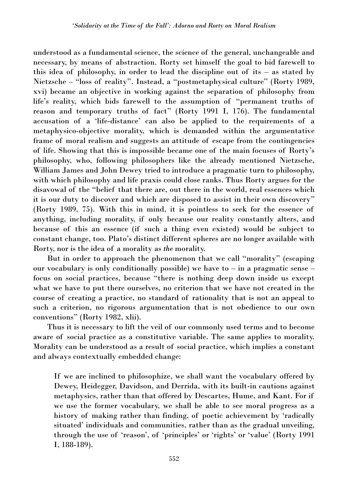understood as a fundamental science, the science of the general, unchangeable and necessary, by means of abstraction. Rorty set himself the goal to bid farewell to this idea of philosophy, in order to lead the discipline out of its – as stated by Nietzsche – "loss of reality". Instead, a "postmetaphysical culture" (Rorty 1989, xvi) became an objective in working against the separation of philosophy from life's reality, which bids farewell to the assumption of "permanent truths of reason and temporary truths of fact" (Rorty 1991 I, 176). The fundamental accusation of a 'life-distance' can also be applied to the requirements of a metaphysico-objective morality, which is demanded within the argumentative frame of moral realism and suggests an attitude of escape from the contingencies of life. Showing that this is impossible became one of the main focuses of Rorty's philosophy, who, following philosophers like the already mentioned Nietzsche, William James and John Dewey tried to introduce a pragmatic turn to philosophy, with which philosophy and life praxis could close ranks. Thus Rorty argues for the disavowal of the "belief that there are, out there in the world, real essences which it is our duty to discover and which are disposed to assist in their own discovery" (Rorty 1989, 75). With this in mind, it is pointless to seek for the essence of anything, including morality, if only because our reality constantly alters, and because of this an essence (if such a thing even existed) would be subject to constant change, too. Plato's distinct different spheres are no longer available with Rorty, nor is the idea of a morality as *the* morality.

But in order to approach the phenomenon that we call "morality" (escaping our vocabulary is only conditionally possible) we have to  $-$  in a pragmatic sense  $$ focus on social practices, because "there is nothing deep down inside us except what we have to put there ourselves, no criterion that we have not created in the course of creating a practice, no standard of rationality that is not an appeal to such a criterion, no rigorous argumentation that is not obedience to our own conventions" (Rorty 1982, xlii).

Thus it is necessary to lift the veil of our commonly used terms and to become aware of social practice as a constitutive variable. The same applies to morality. Morality can be understood as a result of social practice, which implies a constant and always contextually embedded change:

If we are inclined to philosophize, we shall want the vocabulary offered by Dewey, Heidegger, Davidson, and Derrida, with its built-in cautions against metaphysics, rather than that offered by Descartes, Hume, and Kant. For if we use the former vocabulary, we shall be able to see moral progress as a history of making rather than finding, of poetic achievement by 'radically situated' individuals and communities, rather than as the gradual unveiling, through the use of 'reason', of 'principles' or 'rights' or 'value' (Rorty 1991 I, 188-189).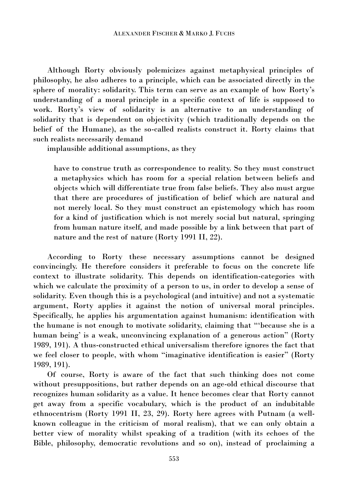Although Rorty obviously polemicizes against metaphysical principles of philosophy, he also adheres to a principle, which can be associated directly in the sphere of morality: solidarity. This term can serve as an example of how Rorty's understanding of a moral principle in a specific context of life is supposed to work. Rorty's view of solidarity is an alternative to an understanding of solidarity that is dependent on objectivity (which traditionally depends on the belief of the Humane), as the so-called realists construct it. Rorty claims that such realists necessarily demand

implausible additional assumptions, as they

have to construe truth as correspondence to reality. So they must construct a metaphysics which has room for a special relation between beliefs and objects which will differentiate true from false beliefs. They also must argue that there are procedures of justification of belief which are natural and not merely local. So they must construct an epistemology which has room for a kind of justification which is not merely social but natural, springing from human nature itself, and made possible by a link between that part of nature and the rest of nature (Rorty 1991 II, 22).

According to Rorty these necessary assumptions cannot be designed convincingly. He therefore considers it preferable to focus on the concrete life context to illustrate solidarity. This depends on identification-categories with which we calculate the proximity of a person to us, in order to develop a sense of solidarity. Even though this is a psychological (and intuitive) and not a systematic argument, Rorty applies it against the notion of universal moral principles. Specifically, he applies his argumentation against humanism: identification with the humane is not enough to motivate solidarity, claiming that "'because she is a human being' is a weak, unconvincing explanation of a generous action" (Rorty 1989, 191). A thus-constructed ethical universalism therefore ignores the fact that we feel closer to people, with whom "imaginative identification is easier" (Rorty 1989, 191).

Of course, Rorty is aware of the fact that such thinking does not come without presuppositions, but rather depends on an age-old ethical discourse that recognizes human solidarity as a value. It hence becomes clear that Rorty cannot get away from a specific vocabulary, which is the product of an indubitable ethnocentrism (Rorty 1991 II, 23, 29). Rorty here agrees with Putnam (a wellknown colleague in the criticism of moral realism), that we can only obtain a better view of morality whilst speaking of a tradition (with its echoes of the Bible, philosophy, democratic revolutions and so on), instead of proclaiming a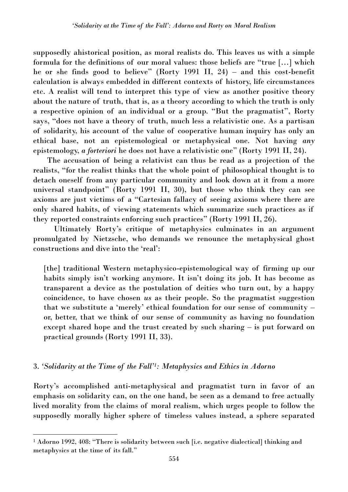supposedly ahistorical position, as moral realists do. This leaves us with a simple formula for the definitions of our moral values: those beliefs are "true […] which he or she finds good to believe" (Rorty 1991 II, 24) – and this cost-benefit calculation is always embedded in different contexts of history, life circumstances etc. A realist will tend to interpret this type of view as another positive theory about the nature of truth, that is, as a theory according to which the truth is only a respective opinion of an individual or a group. "But the pragmatist", Rorty says, "does not have a theory of truth, much less a relativistic one. As a partisan of solidarity, his account of the value of cooperative human inquiry has only an ethical base, not an epistemological or metaphysical one. Not having *any*  epistemology, *a forteriori* he does not have a relativistic one" (Rorty 1991 II, 24).

The accusation of being a relativist can thus be read as a projection of the realists, "for the realist thinks that the whole point of philosophical thought is to detach oneself from any particular community and look down at it from a more universal standpoint" (Rorty 1991 II, 30), but those who think they can see axioms are just victims of a "Cartesian fallacy of seeing axioms where there are only shared habits, of viewing statements which summarize such practices as if they reported constraints enforcing such practices" (Rorty 1991 II, 26).

Ultimately Rorty's critique of metaphysics culminates in an argument promulgated by Nietzsche, who demands we renounce the metaphysical ghost constructions and dive into the 'real':

[the] traditional Western metaphysico-epistemological way of firming up our habits simply isn't working anymore. It isn't doing its job. It has become as transparent a device as the postulation of deities who turn out, by a happy coincidence, to have chosen *us* as their people. So the pragmatist suggestion that we substitute a 'merely' ethical foundation for our sense of community – or, better, that we think of our sense of community as having no foundation except shared hope and the trust created by such sharing – is put forward on practical grounds (Rorty 1991 II, 33).

## 3. *'Solidarity at the Time of the Fall'<sup>1</sup> : Metaphysics and Ethics in Adorno*

 $\overline{a}$ 

Rorty's accomplished anti-metaphysical and pragmatist turn in favor of an emphasis on solidarity can, on the one hand, be seen as a demand to free actually lived morality from the claims of moral realism, which urges people to follow the supposedly morally higher sphere of timeless values instead, a sphere separated

<sup>&</sup>lt;sup>1</sup> Adorno 1992, 408: "There is solidarity between such [i.e. negative dialectical] thinking and metaphysics at the time of its fall."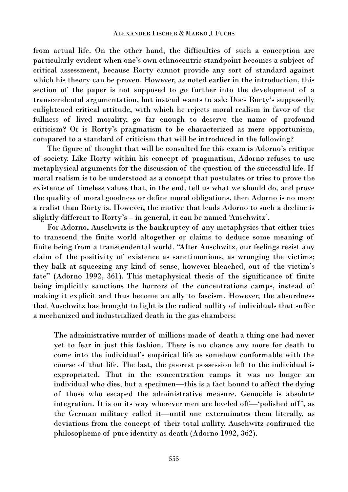from actual life. On the other hand, the difficulties of such a conception are particularly evident when one's own ethnocentric standpoint becomes a subject of critical assessment, because Rorty cannot provide any sort of standard against which his theory can be proven. However, as noted earlier in the introduction, this section of the paper is not supposed to go further into the development of a transcendental argumentation, but instead wants to ask: Does Rorty's supposedly enlightened critical attitude, with which he rejects moral realism in favor of the fullness of lived morality, go far enough to deserve the name of profound criticism? Or is Rorty's pragmatism to be characterized as mere opportunism, compared to a standard of criticism that will be introduced in the following?

The figure of thought that will be consulted for this exam is Adorno's critique of society. Like Rorty within his concept of pragmatism, Adorno refuses to use metaphysical arguments for the discussion of the question of the successful life. If moral realism is to be understood as a concept that postulates or tries to prove the existence of timeless values that, in the end, tell us what we should do, and prove the quality of moral goodness or define moral obligations, then Adorno is no more a realist than Rorty is. However, the motive that leads Adorno to such a decline is slightly different to Rorty's – in general, it can be named 'Auschwitz'.

For Adorno, Auschwitz is the bankruptcy of any metaphysics that either tries to transcend the finite world altogether or claims to deduce some meaning of finite being from a transcendental world. "After Auschwitz, our feelings resist any claim of the positivity of existence as sanctimonious, as wronging the victims; they balk at squeezing any kind of sense, however bleached, out of the victim's fate" (Adorno 1992, 361). This metaphysical thesis of the significance of finite being implicitly sanctions the horrors of the concentrations camps, instead of making it explicit and thus become an ally to fascism. However, the absurdness that Auschwitz has brought to light is the radical nullity of individuals that suffer a mechanized and industrialized death in the gas chambers:

The administrative murder of millions made of death a thing one had never yet to fear in just this fashion. There is no chance any more for death to come into the individual's empirical life as somehow conformable with the course of that life. The last, the poorest possession left to the individual is expropriated. That in the concentration camps it was no longer an individual who dies, but a specimen—this is a fact bound to affect the dying of those who escaped the administrative measure. Genocide is absolute integration. It is on its way wherever men are leveled off—'polished off', as the German military called it—until one exterminates them literally, as deviations from the concept of their total nullity. Auschwitz confirmed the philosopheme of pure identity as death (Adorno 1992, 362).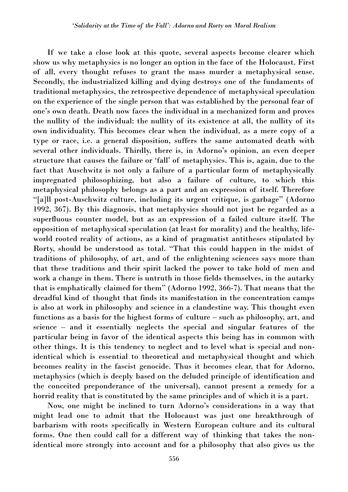If we take a close look at this quote, several aspects become clearer which show us why metaphysics is no longer an option in the face of the Holocaust. First of all, every thought refuses to grant the mass murder a metaphysical sense. Secondly, the industrialized killing and dying destroys one of the fundaments of traditional metaphysics, the retrospective dependence of metaphysical speculation on the experience of the single person that was established by the personal fear of one's own death. Death now faces the individual in a mechanized form and proves the nullity of the individual: the nullity of its existence at all, the nullity of its own individuality. This becomes clear when the individual, as a mere copy of a type or race, i.e. a general disposition, suffers the same automated death with several other individuals. Thirdly, there is, in Adorno's opinion, an even deeper structure that causes the failure or 'fall' of metaphysics. This is, again, due to the fact that Auschwitz is not only a failure of a particular form of metaphysically impregnated philosophizing, but also a failure of culture, to which this metaphysical philosophy belongs as a part and an expression of itself. Therefore "[a]ll post-Auschwitz culture, including its urgent critique, is garbage" (Adorno 1992, 367). By this diagnosis, that metaphysics should not just be regarded as a superfluous counter model, but as an expression of a failed culture itself. The opposition of metaphysical speculation (at least for morality) and the healthy, lifeworld rooted reality of actions, as a kind of pragmatist antitheses stipulated by Rorty, should be understood as total. "That this could happen in the midst of traditions of philosophy, of art, and of the enlightening sciences says more than that these traditions and their spirit lacked the power to take hold of men and work a change in them. There is untruth in those fields themselves, in the autarky that is emphatically claimed for them" (Adorno 1992, 366-7). That means that the dreadful kind of thought that finds its manifestation in the concentration camps is also at work in philosophy and science in a clandestine way. This thought even functions as a basis for the highest forms of culture – such as philosophy, art, and science – and it essentially neglects the special and singular features of the particular being in favor of the identical aspects this being has in common with other things. It is this tendency to neglect and to level what is special and nonidentical which is essential to theoretical and metaphysical thought and which becomes reality in the fascist genocide. Thus it becomes clear, that for Adorno, metaphysics (which is deeply based on the deluded principle of identification and the conceited preponderance of the universal), cannot present a remedy for a horrid reality that is constituted by the same principles and of which it is a part.

Now, one might be inclined to turn Adorno's considerations in a way that might lead one to admit that the Holocaust was just one breakthrough of barbarism with roots specifically in Western European culture and its cultural forms. One then could call for a different way of thinking that takes the nonidentical more strongly into account and for a philosophy that also gives us the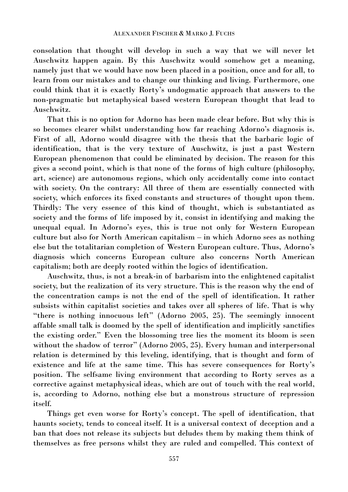consolation that thought will develop in such a way that we will never let Auschwitz happen again. By this Auschwitz would somehow get a meaning, namely just that we would have now been placed in a position, once and for all, to learn from our mistakes and to change our thinking and living. Furthermore, one could think that it is exactly Rorty's undogmatic approach that answers to the non-pragmatic but metaphysical based western European thought that lead to Auschwitz.

That this is no option for Adorno has been made clear before. But why this is so becomes clearer whilst understanding how far reaching Adorno's diagnosis is. First of all, Adorno would disagree with the thesis that the barbaric logic of identification, that is the very texture of Auschwitz, is just a past Western European phenomenon that could be eliminated by decision. The reason for this gives a second point, which is that none of the forms of high culture (philosophy, art, science) are autonomous regions, which only accidentally come into contact with society. On the contrary: All three of them are essentially connected with society, which enforces its fixed constants and structures of thought upon them. Thirdly: The very essence of this kind of thought, which is substantiated as society and the forms of life imposed by it, consist in identifying and making the unequal equal. In Adorno's eyes, this is true not only for Western European culture but also for North American capitalism – in which Adorno sees as nothing else but the totalitarian completion of Western European culture. Thus, Adorno's diagnosis which concerns European culture also concerns North American capitalism; both are deeply rooted within the logics of identification.

Auschwitz, thus, is not a break-in of barbarism into the enlightened capitalist society, but the realization of its very structure. This is the reason why the end of the concentration camps is not the end of the spell of identification. It rather subsists within capitalist societies and takes over all spheres of life. That is why "there is nothing innocuous left" (Adorno 2005, 25). The seemingly innocent affable small talk is doomed by the spell of identification and implicitly sanctifies the existing order." Even the blossoming tree lies the moment its bloom is seen without the shadow of terror" (Adorno 2005, 25). Every human and interpersonal relation is determined by this leveling, identifying, that is thought and form of existence and life at the same time. This has severe consequences for Rorty's position. The selfsame living environment that according to Rorty serves as a corrective against metaphysical ideas, which are out of touch with the real world, is, according to Adorno, nothing else but a monstrous structure of repression itself.

Things get even worse for Rorty's concept. The spell of identification, that haunts society, tends to conceal itself. It is a universal context of deception and a ban that does not release its subjects but deludes them by making them think of themselves as free persons whilst they are ruled and compelled. This context of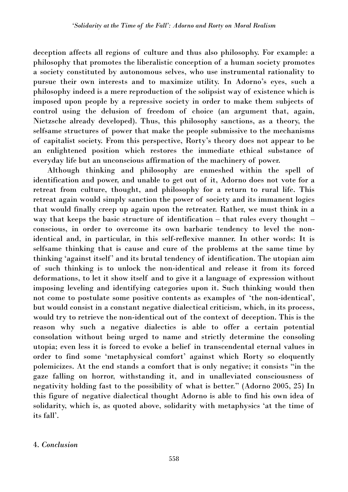deception affects all regions of culture and thus also philosophy. For example: a philosophy that promotes the liberalistic conception of a human society promotes a society constituted by autonomous selves, who use instrumental rationality to pursue their own interests and to maximize utility. In Adorno's eyes, such a philosophy indeed is a mere reproduction of the solipsist way of existence which is imposed upon people by a repressive society in order to make them subjects of control using the delusion of freedom of choice (an argument that, again, Nietzsche already developed). Thus, this philosophy sanctions, as a theory, the selfsame structures of power that make the people submissive to the mechanisms of capitalist society. From this perspective, Rorty's theory does not appear to be an enlightened position which restores the immediate ethical substance of everyday life but an unconscious affirmation of the machinery of power.

Although thinking and philosophy are enmeshed within the spell of identification and power, and unable to get out of it, Adorno does not vote for a retreat from culture, thought, and philosophy for a return to rural life. This retreat again would simply sanction the power of society and its immanent logics that would finally creep up again upon the retreater. Rather, we must think in a way that keeps the basic structure of identification – that rules every thought – conscious, in order to overcome its own barbaric tendency to level the nonidentical and, in particular, in this self-reflexive manner. In other words: It is selfsame thinking that is cause and cure of the problems at the same time by thinking 'against itself' and its brutal tendency of identification. The utopian aim of such thinking is to unlock the non-identical and release it from its forced deformations, to let it show itself and to give it a language of expression without imposing leveling and identifying categories upon it. Such thinking would then not come to postulate some positive contents as examples of 'the non-identical', but would consist in a constant negative dialectical criticism, which, in its process, would try to retrieve the non-identical out of the context of deception. This is the reason why such a negative dialectics is able to offer a certain potential consolation without being urged to name and strictly determine the consoling utopia; even less it is forced to evoke a belief in transcendental eternal values in order to find some 'metaphysical comfort' against which Rorty so eloquently polemicizes. At the end stands a comfort that is only negative; it consists "in the gaze falling on horror, withstanding it, and in unalleviated consciousness of negativity holding fast to the possibility of what is better." (Adorno 2005, 25) In this figure of negative dialectical thought Adorno is able to find his own idea of solidarity, which is, as quoted above, solidarity with metaphysics 'at the time of its fall'.